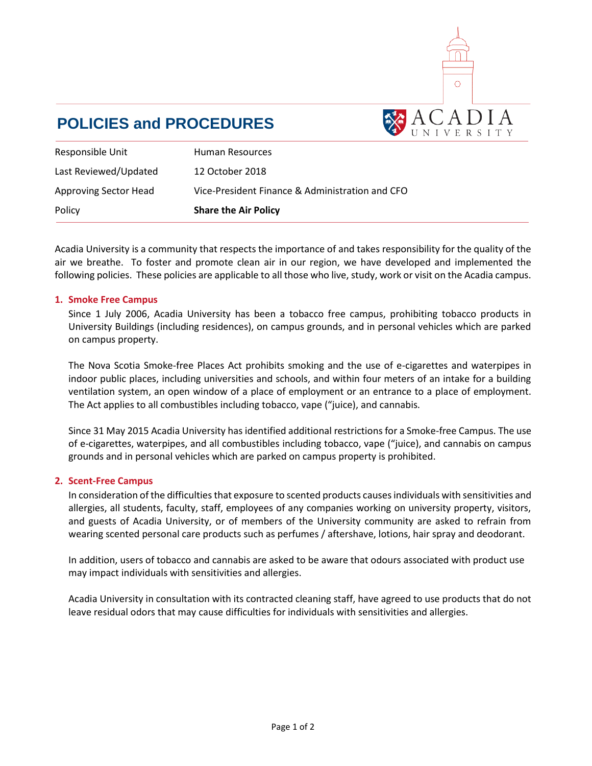

# **POLICIES and PROCEDURES**

| Responsible Unit             | Human Resources                                 |
|------------------------------|-------------------------------------------------|
| Last Reviewed/Updated        | 12 October 2018                                 |
| <b>Approving Sector Head</b> | Vice-President Finance & Administration and CFO |
| Policy                       | <b>Share the Air Policy</b>                     |

Acadia University is a community that respects the importance of and takes responsibility for the quality of the air we breathe. To foster and promote clean air in our region, we have developed and implemented the following policies. These policies are applicable to all those who live, study, work or visit on the Acadia campus.

#### **1. Smoke Free Campus**

Since 1 July 2006, Acadia University has been a tobacco free campus, prohibiting tobacco products in University Buildings (including residences), on campus grounds, and in personal vehicles which are parked on campus property.

The Nova Scotia Smoke-free Places Act prohibits smoking and the use of e-cigarettes and waterpipes in indoor public places, including universities and schools, and within four meters of an intake for a building ventilation system, an open window of a place of employment or an entrance to a place of employment. The Act applies to all combustibles including tobacco, vape ("juice), and cannabis.

Since 31 May 2015 Acadia University has identified additional restrictions for a Smoke-free Campus. The use of e-cigarettes, waterpipes, and all combustibles including tobacco, vape ("juice), and cannabis on campus grounds and in personal vehicles which are parked on campus property is prohibited.

#### **2. Scent-Free Campus**

In consideration of the difficulties that exposure to scented products causes individuals with sensitivities and allergies, all students, faculty, staff, employees of any companies working on university property, visitors, and guests of Acadia University, or of members of the University community are asked to refrain from wearing scented personal care products such as perfumes / aftershave, lotions, hair spray and deodorant.

In addition, users of tobacco and cannabis are asked to be aware that odours associated with product use may impact individuals with sensitivities and allergies.

Acadia University in consultation with its contracted cleaning staff, have agreed to use products that do not leave residual odors that may cause difficulties for individuals with sensitivities and allergies.